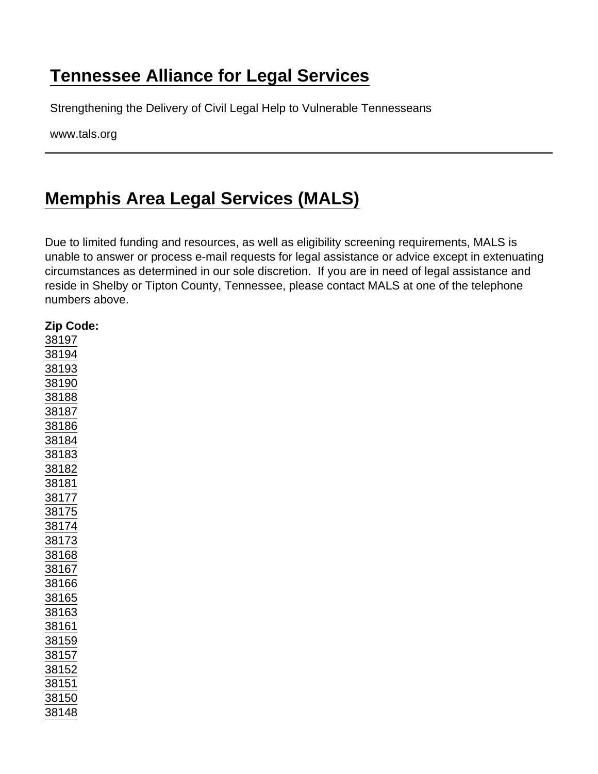## [Tennessee Alliance for Legal Services](https://www.tals.org/)

Strengthening the Delivery of Civil Legal Help to Vulnerable Tennesseans

www.tals.org

## [Memphis Area Legal Services \(MALS\)](https://www.tals.org/node/242/memphis-area-legal-services-mals)

Due to limited funding and resources, as well as eligibility screening requirements, MALS is unable to answer or process e-mail requests for legal assistance or advice except in extenuating circumstances as determined in our sole discretion. If you are in need of legal assistance and reside in Shelby or Tipton County, Tennessee, please contact MALS at one of the telephone numbers above.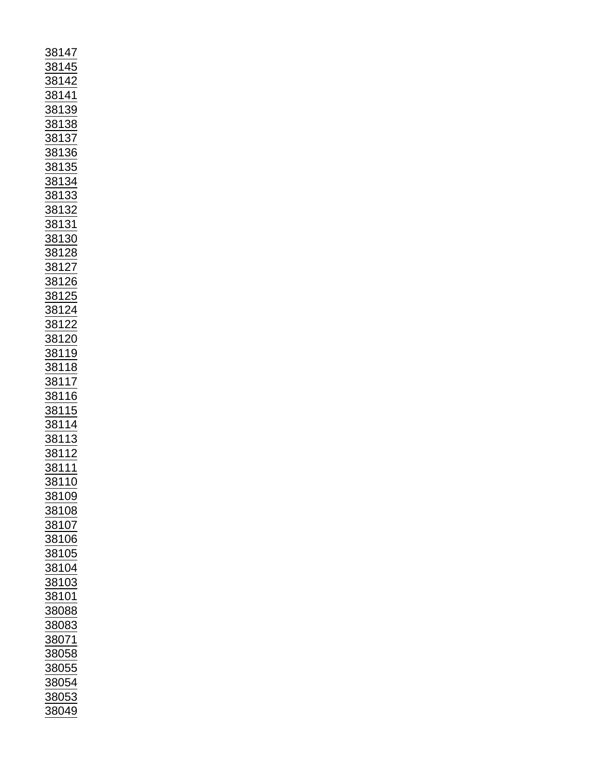| $\frac{38147}{38145} \underline{38144} \underline{38144} \underline{38144} \underline{38144} \underline{38138} \underline{38138} \underline{38138} \underline{38138} \underline{38133} \underline{38133} \underline{38133} \underline{38132} \underline{38132} \underline{38132} \underline{38128} \underline{38122} \underline{38122} \underline{38122} \underline{38122} \underline{38122} \underline{38122} \underline{38122} \underline{3812$ |  |
|---------------------------------------------------------------------------------------------------------------------------------------------------------------------------------------------------------------------------------------------------------------------------------------------------------------------------------------------------------------------------------------------------------------------------------------------------|--|
| 38109                                                                                                                                                                                                                                                                                                                                                                                                                                             |  |
| 38108                                                                                                                                                                                                                                                                                                                                                                                                                                             |  |
|                                                                                                                                                                                                                                                                                                                                                                                                                                                   |  |
| 38107                                                                                                                                                                                                                                                                                                                                                                                                                                             |  |
|                                                                                                                                                                                                                                                                                                                                                                                                                                                   |  |
| <u>88106</u>                                                                                                                                                                                                                                                                                                                                                                                                                                      |  |
|                                                                                                                                                                                                                                                                                                                                                                                                                                                   |  |
| 38105                                                                                                                                                                                                                                                                                                                                                                                                                                             |  |
| <u>38104</u>                                                                                                                                                                                                                                                                                                                                                                                                                                      |  |
|                                                                                                                                                                                                                                                                                                                                                                                                                                                   |  |
| 38103                                                                                                                                                                                                                                                                                                                                                                                                                                             |  |
| 38101                                                                                                                                                                                                                                                                                                                                                                                                                                             |  |
|                                                                                                                                                                                                                                                                                                                                                                                                                                                   |  |
| 38088                                                                                                                                                                                                                                                                                                                                                                                                                                             |  |
|                                                                                                                                                                                                                                                                                                                                                                                                                                                   |  |
| 38083                                                                                                                                                                                                                                                                                                                                                                                                                                             |  |
| 38071                                                                                                                                                                                                                                                                                                                                                                                                                                             |  |
|                                                                                                                                                                                                                                                                                                                                                                                                                                                   |  |
| 38058                                                                                                                                                                                                                                                                                                                                                                                                                                             |  |
|                                                                                                                                                                                                                                                                                                                                                                                                                                                   |  |
| 38055                                                                                                                                                                                                                                                                                                                                                                                                                                             |  |
| 38054                                                                                                                                                                                                                                                                                                                                                                                                                                             |  |
|                                                                                                                                                                                                                                                                                                                                                                                                                                                   |  |
| 38053<br>38049                                                                                                                                                                                                                                                                                                                                                                                                                                    |  |